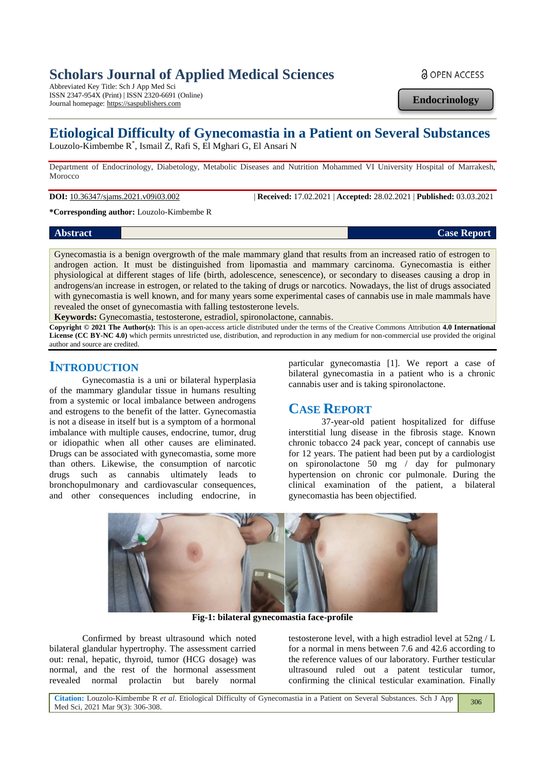# **Scholars Journal of Applied Medical Sciences**

Abbreviated Key Title: Sch J App Med Sci ISSN 2347-954X (Print) | ISSN 2320-6691 (Online) Journal homepage: https://saspublishers.com

**Endocrinology**

**a** OPEN ACCESS

# **Etiological Difficulty of Gynecomastia in a Patient on Several Substances**

Louzolo-Kimbembe R\* , Ismail Z, Rafi S, El Mghari G, El Ansari N

Department of Endocrinology, Diabetology, Metabolic Diseases and Nutrition Mohammed VI University Hospital of Marrakesh, Morocco

**DOI:** 10.36347/sjams.2021.v09i03.002 | **Received:** 17.02.2021 | **Accepted:** 28.02.2021 | **Published:** 03.03.2021

**\*Corresponding author:** Louzolo-Kimbembe R

#### **Abstract Case Report**

Gynecomastia is a benign overgrowth of the male mammary gland that results from an increased ratio of estrogen to androgen action. It must be distinguished from lipomastia and mammary carcinoma. Gynecomastia is either physiological at different stages of life (birth, adolescence, senescence), or secondary to diseases causing a drop in androgens/an increase in estrogen, or related to the taking of drugs or narcotics. Nowadays, the list of drugs associated with gynecomastia is well known, and for many years some experimental cases of cannabis use in male mammals have revealed the onset of gynecomastia with falling testosterone levels.

**Keywords:** Gynecomastia, testosterone, estradiol, spironolactone, cannabis.

**Copyright © 2021 The Author(s):** This is an open-access article distributed under the terms of the Creative Commons Attribution **4.0 International License (CC BY-NC 4.0)** which permits unrestricted use, distribution, and reproduction in any medium for non-commercial use provided the original author and source are credited.

### **INTRODUCTION**

Gynecomastia is a uni or bilateral hyperplasia of the mammary glandular tissue in humans resulting from a systemic or local imbalance between androgens and estrogens to the benefit of the latter. Gynecomastia is not a disease in itself but is a symptom of a hormonal imbalance with multiple causes, endocrine, tumor, drug or idiopathic when all other causes are eliminated. Drugs can be associated with gynecomastia, some more than others. Likewise, the consumption of narcotic drugs such as cannabis ultimately leads to bronchopulmonary and cardiovascular consequences, and other consequences including endocrine, in

particular gynecomastia [1]. We report a case of bilateral gynecomastia in a patient who is a chronic cannabis user and is taking spironolactone.

# **CASE REPORT**

37-year-old patient hospitalized for diffuse interstitial lung disease in the fibrosis stage. Known chronic tobacco 24 pack year, concept of cannabis use for 12 years. The patient had been put by a cardiologist on spironolactone 50 mg / day for pulmonary hypertension on chronic cor pulmonale. During the clinical examination of the patient, a bilateral gynecomastia has been objectified.



**Fig-1: bilateral gynecomastia face-profile**

Confirmed by breast ultrasound which noted bilateral glandular hypertrophy. The assessment carried out: renal, hepatic, thyroid, tumor (HCG dosage) was normal, and the rest of the hormonal assessment revealed normal prolactin but barely normal

testosterone level, with a high estradiol level at 52ng / L for a normal in mens between 7.6 and 42.6 according to the reference values of our laboratory. Further testicular ultrasound ruled out a patent testicular tumor, confirming the clinical testicular examination. Finally

**Citation:** Louzolo-Kimbembe R *et al*. Etiological Difficulty of Gynecomastia in a Patient on Several Substances. Sch J App Med Sci, 2021 Mar 9(3): 306-308. 306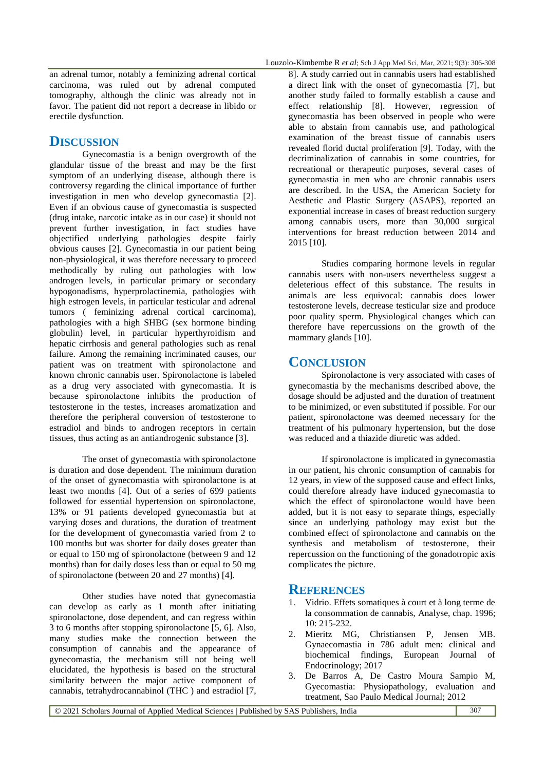an adrenal tumor, notably a feminizing adrenal cortical carcinoma, was ruled out by adrenal computed tomography, although the clinic was already not in favor. The patient did not report a decrease in libido or erectile dysfunction.

### **DISCUSSION**

Gynecomastia is a benign overgrowth of the glandular tissue of the breast and may be the first symptom of an underlying disease, although there is controversy regarding the clinical importance of further investigation in men who develop gynecomastia [2]. Even if an obvious cause of gynecomastia is suspected (drug intake, narcotic intake as in our case) it should not prevent further investigation, in fact studies have objectified underlying pathologies despite fairly obvious causes [2]. Gynecomastia in our patient being non-physiological, it was therefore necessary to proceed methodically by ruling out pathologies with low androgen levels, in particular primary or secondary hypogonadisms, hyperprolactinemia, pathologies with high estrogen levels, in particular testicular and adrenal tumors ( feminizing adrenal cortical carcinoma), pathologies with a high SHBG (sex hormone binding globulin) level, in particular hyperthyroidism and hepatic cirrhosis and general pathologies such as renal failure. Among the remaining incriminated causes, our patient was on treatment with spironolactone and known chronic cannabis user. Spironolactone is labeled as a drug very associated with gynecomastia. It is because spironolactone inhibits the production of testosterone in the testes, increases aromatization and therefore the peripheral conversion of testosterone to estradiol and binds to androgen receptors in certain tissues, thus acting as an antiandrogenic substance [3].

The onset of gynecomastia with spironolactone is duration and dose dependent. The minimum duration of the onset of gynecomastia with spironolactone is at least two months [4]. Out of a series of 699 patients followed for essential hypertension on spironolactone, 13% or 91 patients developed gynecomastia but at varying doses and durations, the duration of treatment for the development of gynecomastia varied from 2 to 100 months but was shorter for daily doses greater than or equal to 150 mg of spironolactone (between 9 and 12 months) than for daily doses less than or equal to 50 mg of spironolactone (between 20 and 27 months) [4].

Other studies have noted that gynecomastia can develop as early as 1 month after initiating spironolactone, dose dependent, and can regress within 3 to 6 months after stopping spironolactone [5, 6]. Also, many studies make the connection between the consumption of cannabis and the appearance of gynecomastia, the mechanism still not being well elucidated, the hypothesis is based on the structural similarity between the major active component of cannabis, tetrahydrocannabinol (THC ) and estradiol [7, 8]. A study carried out in cannabis users had established a direct link with the onset of gynecomastia [7], but another study failed to formally establish a cause and effect relationship [8]. However, regression of gynecomastia has been observed in people who were able to abstain from cannabis use, and pathological examination of the breast tissue of cannabis users revealed florid ductal proliferation [9]. Today, with the decriminalization of cannabis in some countries, for recreational or therapeutic purposes, several cases of gynecomastia in men who are chronic cannabis users are described. In the USA, the American Society for Aesthetic and Plastic Surgery (ASAPS), reported an exponential increase in cases of breast reduction surgery among cannabis users, more than 30,000 surgical interventions for breast reduction between 2014 and 2015 [10].

Studies comparing hormone levels in regular cannabis users with non-users nevertheless suggest a deleterious effect of this substance. The results in animals are less equivocal: cannabis does lower testosterone levels, decrease testicular size and produce poor quality sperm. Physiological changes which can therefore have repercussions on the growth of the mammary glands [10].

## **CONCLUSION**

Spironolactone is very associated with cases of gynecomastia by the mechanisms described above, the dosage should be adjusted and the duration of treatment to be minimized, or even substituted if possible. For our patient, spironolactone was deemed necessary for the treatment of his pulmonary hypertension, but the dose was reduced and a thiazide diuretic was added.

If spironolactone is implicated in gynecomastia in our patient, his chronic consumption of cannabis for 12 years, in view of the supposed cause and effect links, could therefore already have induced gynecomastia to which the effect of spironolactone would have been added, but it is not easy to separate things, especially since an underlying pathology may exist but the combined effect of spironolactone and cannabis on the synthesis and metabolism of testosterone, their repercussion on the functioning of the gonadotropic axis complicates the picture.

#### **REFERENCES**

- 1. Vidrio. Effets somatiques à court et à long terme de la consommation de cannabis, Analyse, chap. 1996; 10: 215-232.
- 2. Mieritz MG, Christiansen P, Jensen MB. Gynaecomastia in 786 adult men: clinical and biochemical findings, European Journal of Endocrinology; 2017
- 3. De Barros A, De Castro Moura Sampio M, Gyecomastia: Physiopathology, evaluation and treatment, Sao Paulo Medical Journal; 2012